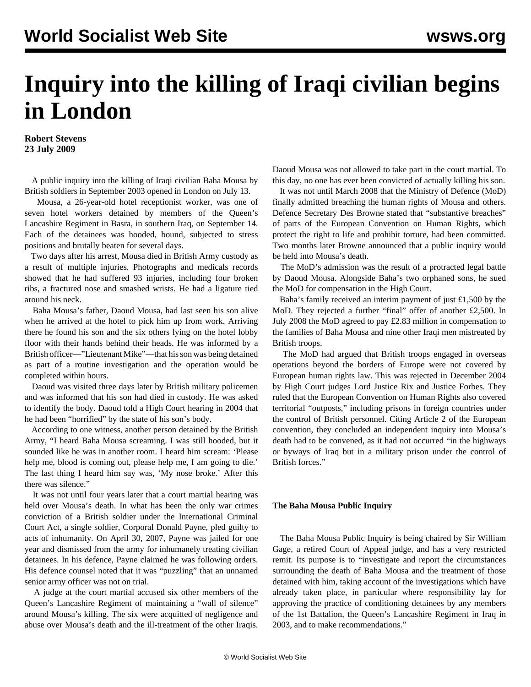## **Inquiry into the killing of Iraqi civilian begins in London**

**Robert Stevens 23 July 2009**

 A public inquiry into the killing of Iraqi civilian Baha Mousa by British soldiers in September 2003 opened in London on July 13.

 Mousa, a 26-year-old hotel receptionist worker, was one of seven hotel workers detained by members of the Queen's Lancashire Regiment in Basra, in southern Iraq, on September 14. Each of the detainees was hooded, bound, subjected to stress positions and brutally beaten for several days.

 Two days after his arrest, Mousa died in British Army custody as a result of multiple injuries. Photographs and medicals records showed that he had suffered 93 injuries, including four broken ribs, a fractured nose and smashed wrists. He had a ligature tied around his neck.

 Baha Mousa's father, Daoud Mousa, had last seen his son alive when he arrived at the hotel to pick him up from work. Arriving there he found his son and the six others lying on the hotel lobby floor with their hands behind their heads. He was informed by a British officer—"Lieutenant Mike"—that his son was being detained as part of a routine investigation and the operation would be completed within hours.

 Daoud was visited three days later by British military policemen and was informed that his son had died in custody. He was asked to identify the body. Daoud told a High Court hearing in 2004 that he had been "horrified" by the state of his son's body.

 According to one witness, another person detained by the British Army, "I heard Baha Mousa screaming. I was still hooded, but it sounded like he was in another room. I heard him scream: 'Please help me, blood is coming out, please help me, I am going to die.' The last thing I heard him say was, 'My nose broke.' After this there was silence."

 It was not until four years later that a court martial hearing was held over Mousa's death. In what has been the only war crimes conviction of a British soldier under the International Criminal Court Act, a single soldier, Corporal Donald Payne, pled guilty to acts of inhumanity. On April 30, 2007, Payne was jailed for one year and dismissed from the army for inhumanely treating civilian detainees. In his defence, Payne claimed he was following orders. His defence counsel noted that it was "puzzling" that an unnamed senior army officer was not on trial.

 A judge at the court martial accused six other members of the Queen's Lancashire Regiment of maintaining a "wall of silence" around Mousa's killing. The six were acquitted of negligence and abuse over Mousa's death and the ill-treatment of the other Iraqis.

Daoud Mousa was not allowed to take part in the court martial. To this day, no one has ever been convicted of actually killing his son.

 It was not until March 2008 that the Ministry of Defence (MoD) finally admitted breaching the human rights of Mousa and others. Defence Secretary Des Browne stated that "substantive breaches" of parts of the European Convention on Human Rights, which protect the right to life and prohibit torture, had been committed. Two months later Browne announced that a public inquiry would be held into Mousa's death.

 The MoD's admission was the result of a protracted legal battle by Daoud Mousa. Alongside Baha's two orphaned sons, he sued the MoD for compensation in the High Court.

 Baha's family received an interim payment of just £1,500 by the MoD. They rejected a further "final" offer of another £2,500. In July 2008 the MoD agreed to pay £2.83 million in compensation to the families of Baha Mousa and nine other Iraqi men mistreated by British troops.

 The MoD had argued that British troops engaged in overseas operations beyond the borders of Europe were not covered by European human rights law. This was rejected in December 2004 by High Court judges Lord Justice Rix and Justice Forbes. They ruled that the European Convention on Human Rights also covered territorial "outposts," including prisons in foreign countries under the control of British personnel. Citing Article 2 of the European convention, they concluded an independent inquiry into Mousa's death had to be convened, as it had not occurred "in the highways or byways of Iraq but in a military prison under the control of British forces."

## **The Baha Mousa Public Inquiry**

 The Baha Mousa Public Inquiry is being chaired by Sir William Gage, a retired Court of Appeal judge, and has a very restricted remit. Its purpose is to "investigate and report the circumstances surrounding the death of Baha Mousa and the treatment of those detained with him, taking account of the investigations which have already taken place, in particular where responsibility lay for approving the practice of conditioning detainees by any members of the 1st Battalion, the Queen's Lancashire Regiment in Iraq in 2003, and to make recommendations."